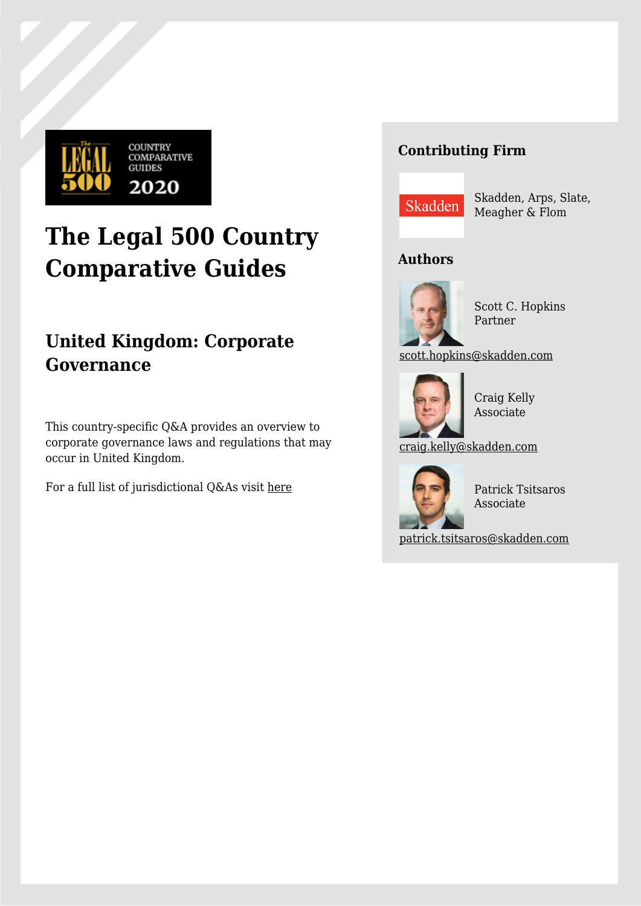

# **The Legal 500 Country Comparative Guides**

# **United Kingdom: Corporate Governance**

This country-specific Q&A provides an overview to corporate governance laws and regulations that may occur in United Kingdom.

For a full list of jurisdictional Q&As visit [here](https://www.legal500.com/guides/)

# **Contributing Firm**



Skadden, Arps, Slate, Meagher & Flom

# **Authors**



Scott C. Hopkins Partner

[scott.hopkins@skadden.com](mailto:scott.hopkins@skadden.com)



Craig Kelly Associate

[craig.kelly@skadden.com](mailto:craig.kelly@skadden.com)



Patrick Tsitsaros Associate

[patrick.tsitsaros@skadden.com](mailto:patrick.tsitsaros@skadden.com)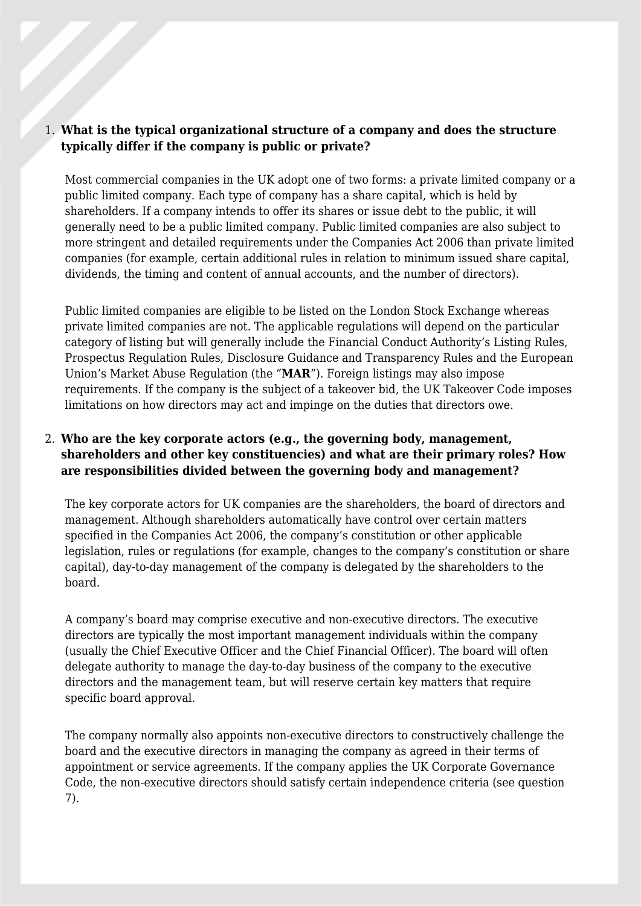#### 1. **What is the typical organizational structure of a company and does the structure typically differ if the company is public or private?**

Most commercial companies in the UK adopt one of two forms: a private limited company or a public limited company. Each type of company has a share capital, which is held by shareholders. If a company intends to offer its shares or issue debt to the public, it will generally need to be a public limited company. Public limited companies are also subject to more stringent and detailed requirements under the Companies Act 2006 than private limited companies (for example, certain additional rules in relation to minimum issued share capital, dividends, the timing and content of annual accounts, and the number of directors).

Public limited companies are eligible to be listed on the London Stock Exchange whereas private limited companies are not. The applicable regulations will depend on the particular category of listing but will generally include the Financial Conduct Authority's Listing Rules, Prospectus Regulation Rules, Disclosure Guidance and Transparency Rules and the European Union's Market Abuse Regulation (the "**MAR**"). Foreign listings may also impose requirements. If the company is the subject of a takeover bid, the UK Takeover Code imposes limitations on how directors may act and impinge on the duties that directors owe.

# 2. **Who are the key corporate actors (e.g., the governing body, management, shareholders and other key constituencies) and what are their primary roles? How are responsibilities divided between the governing body and management?**

The key corporate actors for UK companies are the shareholders, the board of directors and management. Although shareholders automatically have control over certain matters specified in the Companies Act 2006, the company's constitution or other applicable legislation, rules or regulations (for example, changes to the company's constitution or share capital), day-to-day management of the company is delegated by the shareholders to the board.

A company's board may comprise executive and non-executive directors. The executive directors are typically the most important management individuals within the company (usually the Chief Executive Officer and the Chief Financial Officer). The board will often delegate authority to manage the day-to-day business of the company to the executive directors and the management team, but will reserve certain key matters that require specific board approval.

The company normally also appoints non-executive directors to constructively challenge the board and the executive directors in managing the company as agreed in their terms of appointment or service agreements. If the company applies the UK Corporate Governance Code, the non-executive directors should satisfy certain independence criteria (see question 7).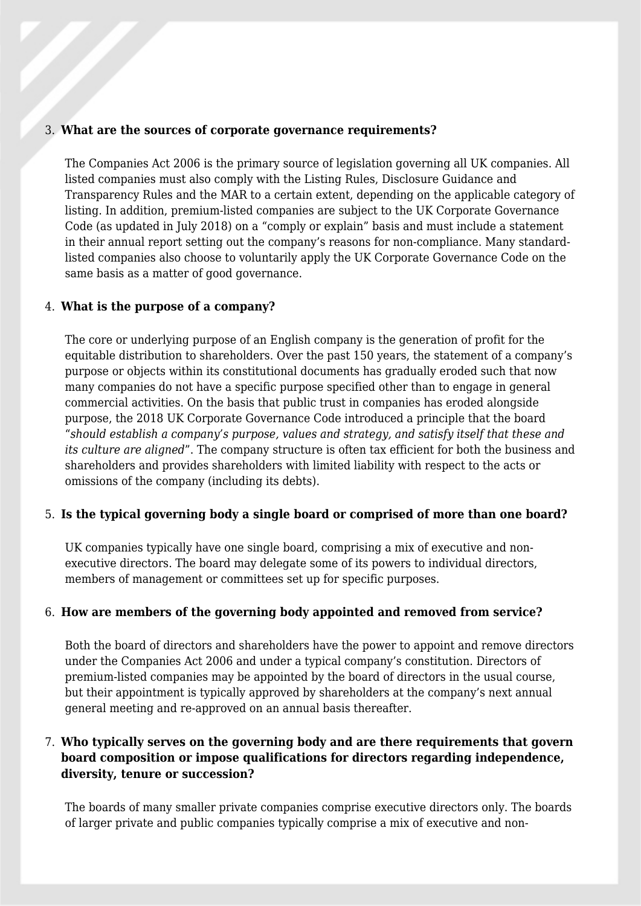#### 3. **What are the sources of corporate governance requirements?**

The Companies Act 2006 is the primary source of legislation governing all UK companies. All listed companies must also comply with the Listing Rules, Disclosure Guidance and Transparency Rules and the MAR to a certain extent, depending on the applicable category of listing. In addition, premium-listed companies are subject to the UK Corporate Governance Code (as updated in July 2018) on a "comply or explain" basis and must include a statement in their annual report setting out the company's reasons for non-compliance. Many standardlisted companies also choose to voluntarily apply the UK Corporate Governance Code on the same basis as a matter of good governance.

#### 4. **What is the purpose of a company?**

The core or underlying purpose of an English company is the generation of profit for the equitable distribution to shareholders. Over the past 150 years, the statement of a company's purpose or objects within its constitutional documents has gradually eroded such that now many companies do not have a specific purpose specified other than to engage in general commercial activities. On the basis that public trust in companies has eroded alongside purpose, the 2018 UK Corporate Governance Code introduced a principle that the board "*should establish a company's purpose, values and strategy, and satisfy itself that these and its culture are aligned*". The company structure is often tax efficient for both the business and shareholders and provides shareholders with limited liability with respect to the acts or omissions of the company (including its debts).

#### 5. **Is the typical governing body a single board or comprised of more than one board?**

UK companies typically have one single board, comprising a mix of executive and nonexecutive directors. The board may delegate some of its powers to individual directors, members of management or committees set up for specific purposes.

#### 6. **How are members of the governing body appointed and removed from service?**

Both the board of directors and shareholders have the power to appoint and remove directors under the Companies Act 2006 and under a typical company's constitution. Directors of premium-listed companies may be appointed by the board of directors in the usual course, but their appointment is typically approved by shareholders at the company's next annual general meeting and re-approved on an annual basis thereafter.

# 7. **Who typically serves on the governing body and are there requirements that govern board composition or impose qualifications for directors regarding independence, diversity, tenure or succession?**

The boards of many smaller private companies comprise executive directors only. The boards of larger private and public companies typically comprise a mix of executive and non-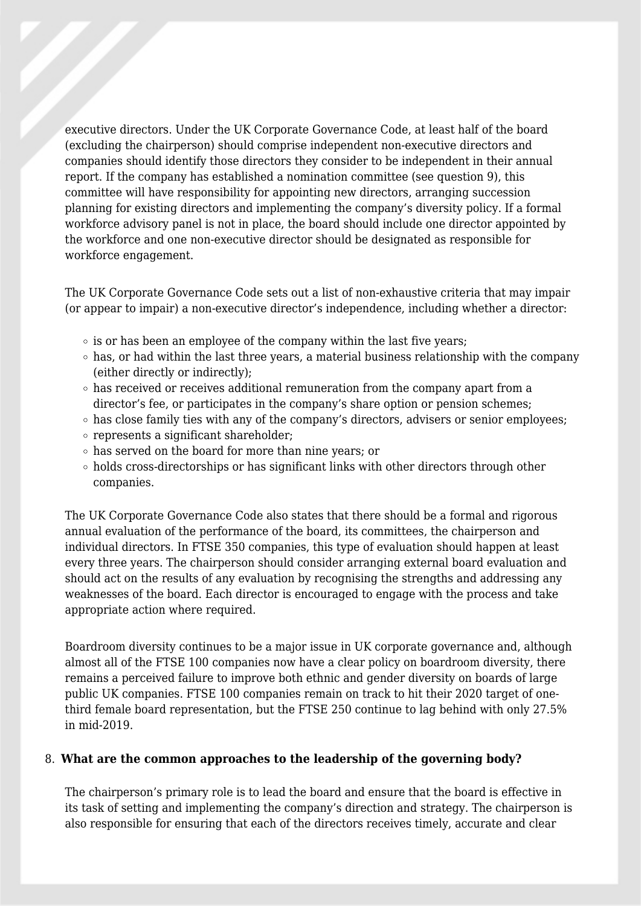executive directors. Under the UK Corporate Governance Code, at least half of the board (excluding the chairperson) should comprise independent non-executive directors and companies should identify those directors they consider to be independent in their annual report. If the company has established a nomination committee (see question 9), this committee will have responsibility for appointing new directors, arranging succession planning for existing directors and implementing the company's diversity policy. If a formal workforce advisory panel is not in place, the board should include one director appointed by the workforce and one non-executive director should be designated as responsible for workforce engagement.

The UK Corporate Governance Code sets out a list of non-exhaustive criteria that may impair (or appear to impair) a non-executive director's independence, including whether a director:

- $\circ$  is or has been an employee of the company within the last five years;
- $\circ$  has, or had within the last three years, a material business relationship with the company (either directly or indirectly);
- $\circ$  has received or receives additional remuneration from the company apart from a director's fee, or participates in the company's share option or pension schemes;
- $\circ$  has close family ties with any of the company's directors, advisers or senior employees;
- represents a significant shareholder;
- has served on the board for more than nine years; or
- $\circ$  holds cross-directorships or has significant links with other directors through other companies.

The UK Corporate Governance Code also states that there should be a formal and rigorous annual evaluation of the performance of the board, its committees, the chairperson and individual directors. In FTSE 350 companies, this type of evaluation should happen at least every three years. The chairperson should consider arranging external board evaluation and should act on the results of any evaluation by recognising the strengths and addressing any weaknesses of the board. Each director is encouraged to engage with the process and take appropriate action where required.

Boardroom diversity continues to be a major issue in UK corporate governance and, although almost all of the FTSE 100 companies now have a clear policy on boardroom diversity, there remains a perceived failure to improve both ethnic and gender diversity on boards of large public UK companies. FTSE 100 companies remain on track to hit their 2020 target of onethird female board representation, but the FTSE 250 continue to lag behind with only 27.5% in mid-2019.

#### 8. **What are the common approaches to the leadership of the governing body?**

The chairperson's primary role is to lead the board and ensure that the board is effective in its task of setting and implementing the company's direction and strategy. The chairperson is also responsible for ensuring that each of the directors receives timely, accurate and clear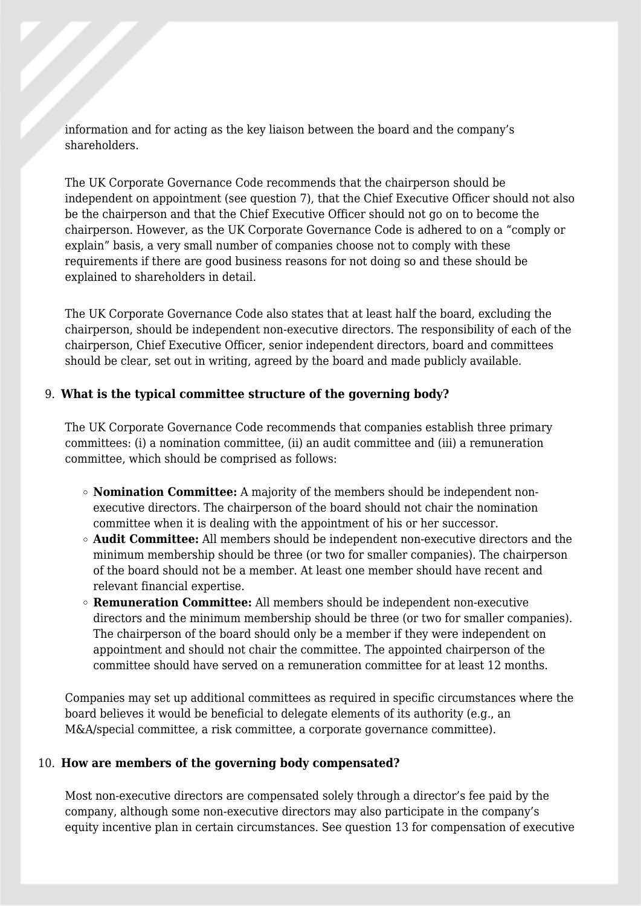information and for acting as the key liaison between the board and the company's shareholders.

The UK Corporate Governance Code recommends that the chairperson should be independent on appointment (see question 7), that the Chief Executive Officer should not also be the chairperson and that the Chief Executive Officer should not go on to become the chairperson. However, as the UK Corporate Governance Code is adhered to on a "comply or explain" basis, a very small number of companies choose not to comply with these requirements if there are good business reasons for not doing so and these should be explained to shareholders in detail.

The UK Corporate Governance Code also states that at least half the board, excluding the chairperson, should be independent non-executive directors. The responsibility of each of the chairperson, Chief Executive Officer, senior independent directors, board and committees should be clear, set out in writing, agreed by the board and made publicly available.

#### 9. **What is the typical committee structure of the governing body?**

The UK Corporate Governance Code recommends that companies establish three primary committees: (i) a nomination committee, (ii) an audit committee and (iii) a remuneration committee, which should be comprised as follows:

- **Nomination Committee:** A majority of the members should be independent nonexecutive directors. The chairperson of the board should not chair the nomination committee when it is dealing with the appointment of his or her successor.
- **Audit Committee:** All members should be independent non-executive directors and the minimum membership should be three (or two for smaller companies). The chairperson of the board should not be a member. At least one member should have recent and relevant financial expertise.
- **Remuneration Committee:** All members should be independent non-executive directors and the minimum membership should be three (or two for smaller companies). The chairperson of the board should only be a member if they were independent on appointment and should not chair the committee. The appointed chairperson of the committee should have served on a remuneration committee for at least 12 months.

Companies may set up additional committees as required in specific circumstances where the board believes it would be beneficial to delegate elements of its authority (e.g., an M&A/special committee, a risk committee, a corporate governance committee).

#### 10. **How are members of the governing body compensated?**

Most non-executive directors are compensated solely through a director's fee paid by the company, although some non-executive directors may also participate in the company's equity incentive plan in certain circumstances. See question 13 for compensation of executive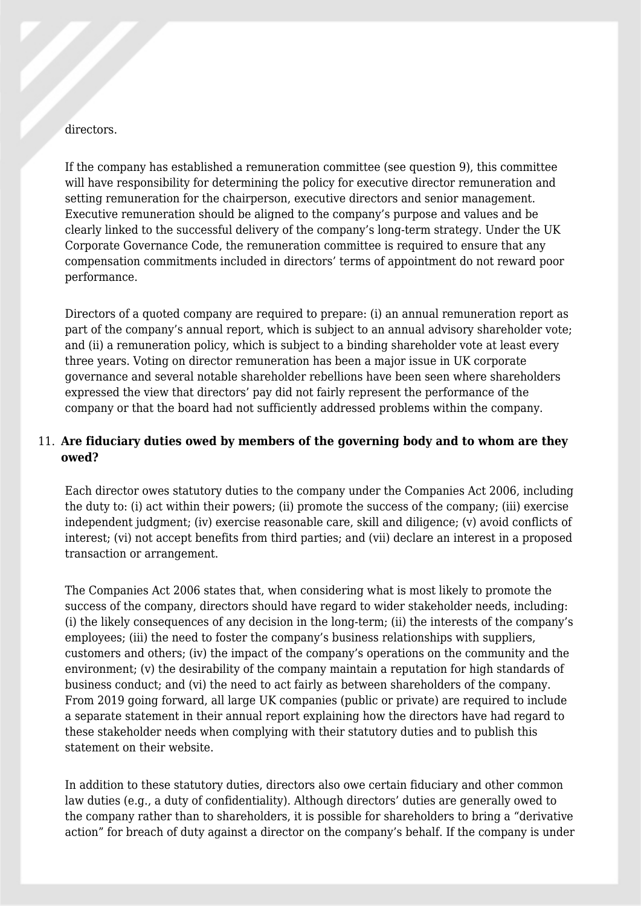#### directors.

If the company has established a remuneration committee (see question 9), this committee will have responsibility for determining the policy for executive director remuneration and setting remuneration for the chairperson, executive directors and senior management. Executive remuneration should be aligned to the company's purpose and values and be clearly linked to the successful delivery of the company's long-term strategy. Under the UK Corporate Governance Code, the remuneration committee is required to ensure that any compensation commitments included in directors' terms of appointment do not reward poor performance.

Directors of a quoted company are required to prepare: (i) an annual remuneration report as part of the company's annual report, which is subject to an annual advisory shareholder vote; and (ii) a remuneration policy, which is subject to a binding shareholder vote at least every three years. Voting on director remuneration has been a major issue in UK corporate governance and several notable shareholder rebellions have been seen where shareholders expressed the view that directors' pay did not fairly represent the performance of the company or that the board had not sufficiently addressed problems within the company.

### 11. **Are fiduciary duties owed by members of the governing body and to whom are they owed?**

Each director owes statutory duties to the company under the Companies Act 2006, including the duty to: (i) act within their powers; (ii) promote the success of the company; (iii) exercise independent judgment; (iv) exercise reasonable care, skill and diligence; (v) avoid conflicts of interest; (vi) not accept benefits from third parties; and (vii) declare an interest in a proposed transaction or arrangement.

The Companies Act 2006 states that, when considering what is most likely to promote the success of the company, directors should have regard to wider stakeholder needs, including: (i) the likely consequences of any decision in the long-term; (ii) the interests of the company's employees; (iii) the need to foster the company's business relationships with suppliers, customers and others; (iv) the impact of the company's operations on the community and the environment; (v) the desirability of the company maintain a reputation for high standards of business conduct; and (vi) the need to act fairly as between shareholders of the company. From 2019 going forward, all large UK companies (public or private) are required to include a separate statement in their annual report explaining how the directors have had regard to these stakeholder needs when complying with their statutory duties and to publish this statement on their website.

In addition to these statutory duties, directors also owe certain fiduciary and other common law duties (e.g., a duty of confidentiality). Although directors' duties are generally owed to the company rather than to shareholders, it is possible for shareholders to bring a "derivative action" for breach of duty against a director on the company's behalf. If the company is under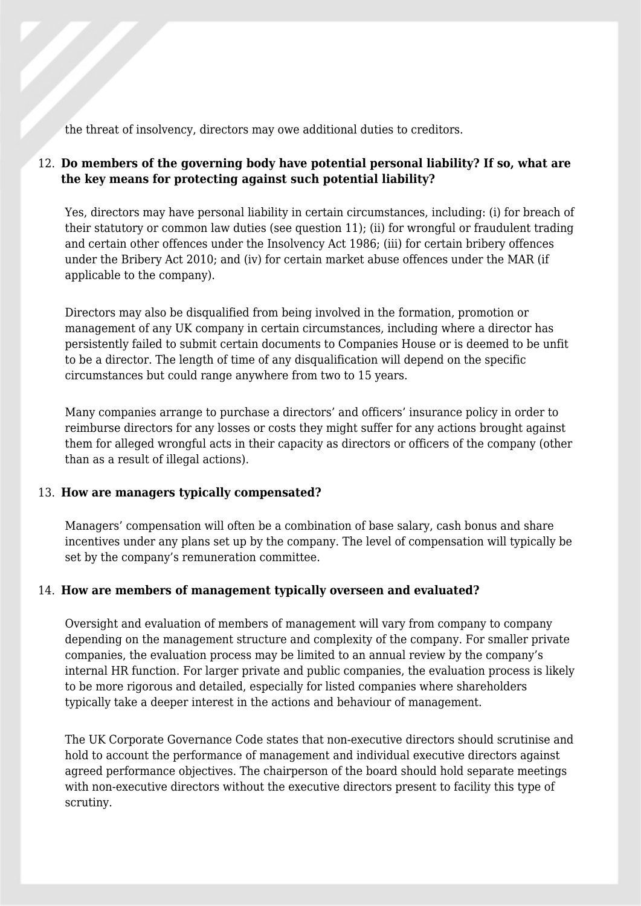the threat of insolvency, directors may owe additional duties to creditors.

# 12. **Do members of the governing body have potential personal liability? If so, what are the key means for protecting against such potential liability?**

Yes, directors may have personal liability in certain circumstances, including: (i) for breach of their statutory or common law duties (see question 11); (ii) for wrongful or fraudulent trading and certain other offences under the Insolvency Act 1986; (iii) for certain bribery offences under the Bribery Act 2010; and (iv) for certain market abuse offences under the MAR (if applicable to the company).

Directors may also be disqualified from being involved in the formation, promotion or management of any UK company in certain circumstances, including where a director has persistently failed to submit certain documents to Companies House or is deemed to be unfit to be a director. The length of time of any disqualification will depend on the specific circumstances but could range anywhere from two to 15 years.

Many companies arrange to purchase a directors' and officers' insurance policy in order to reimburse directors for any losses or costs they might suffer for any actions brought against them for alleged wrongful acts in their capacity as directors or officers of the company (other than as a result of illegal actions).

#### 13. **How are managers typically compensated?**

Managers' compensation will often be a combination of base salary, cash bonus and share incentives under any plans set up by the company. The level of compensation will typically be set by the company's remuneration committee.

#### 14. **How are members of management typically overseen and evaluated?**

Oversight and evaluation of members of management will vary from company to company depending on the management structure and complexity of the company. For smaller private companies, the evaluation process may be limited to an annual review by the company's internal HR function. For larger private and public companies, the evaluation process is likely to be more rigorous and detailed, especially for listed companies where shareholders typically take a deeper interest in the actions and behaviour of management.

The UK Corporate Governance Code states that non-executive directors should scrutinise and hold to account the performance of management and individual executive directors against agreed performance objectives. The chairperson of the board should hold separate meetings with non-executive directors without the executive directors present to facility this type of scrutiny.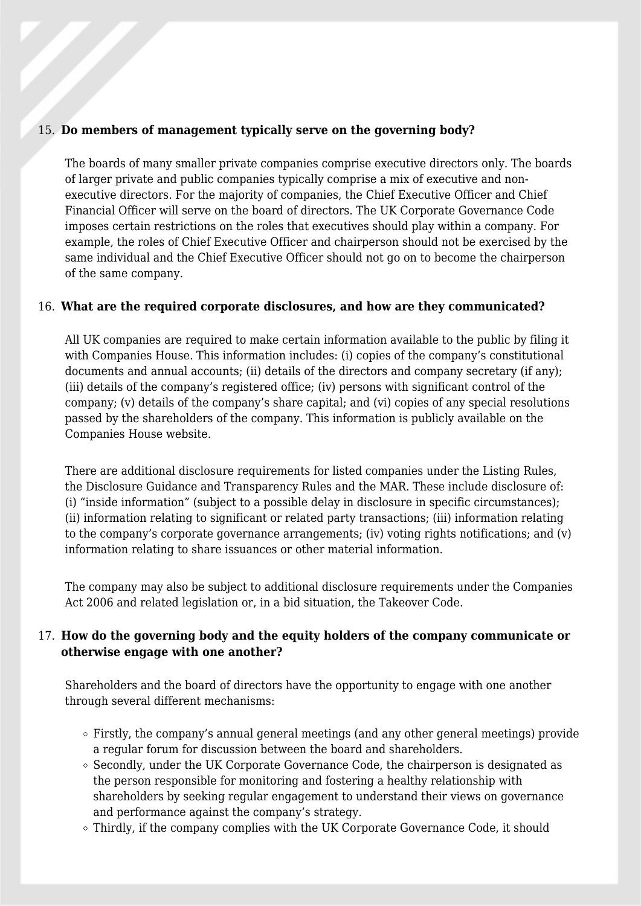#### 15. **Do members of management typically serve on the governing body?**

The boards of many smaller private companies comprise executive directors only. The boards of larger private and public companies typically comprise a mix of executive and nonexecutive directors. For the majority of companies, the Chief Executive Officer and Chief Financial Officer will serve on the board of directors. The UK Corporate Governance Code imposes certain restrictions on the roles that executives should play within a company. For example, the roles of Chief Executive Officer and chairperson should not be exercised by the same individual and the Chief Executive Officer should not go on to become the chairperson of the same company.

#### 16. **What are the required corporate disclosures, and how are they communicated?**

All UK companies are required to make certain information available to the public by filing it with Companies House. This information includes: (i) copies of the company's constitutional documents and annual accounts; (ii) details of the directors and company secretary (if any); (iii) details of the company's registered office; (iv) persons with significant control of the company; (v) details of the company's share capital; and (vi) copies of any special resolutions passed by the shareholders of the company. This information is publicly available on the Companies House website.

There are additional disclosure requirements for listed companies under the Listing Rules, the Disclosure Guidance and Transparency Rules and the MAR. These include disclosure of: (i) "inside information" (subject to a possible delay in disclosure in specific circumstances); (ii) information relating to significant or related party transactions; (iii) information relating to the company's corporate governance arrangements; (iv) voting rights notifications; and (v) information relating to share issuances or other material information.

The company may also be subject to additional disclosure requirements under the Companies Act 2006 and related legislation or, in a bid situation, the Takeover Code.

#### 17. **How do the governing body and the equity holders of the company communicate or otherwise engage with one another?**

Shareholders and the board of directors have the opportunity to engage with one another through several different mechanisms:

- Firstly, the company's annual general meetings (and any other general meetings) provide a regular forum for discussion between the board and shareholders.
- $\circ$  Secondly, under the UK Corporate Governance Code, the chairperson is designated as the person responsible for monitoring and fostering a healthy relationship with shareholders by seeking regular engagement to understand their views on governance and performance against the company's strategy.
- Thirdly, if the company complies with the UK Corporate Governance Code, it should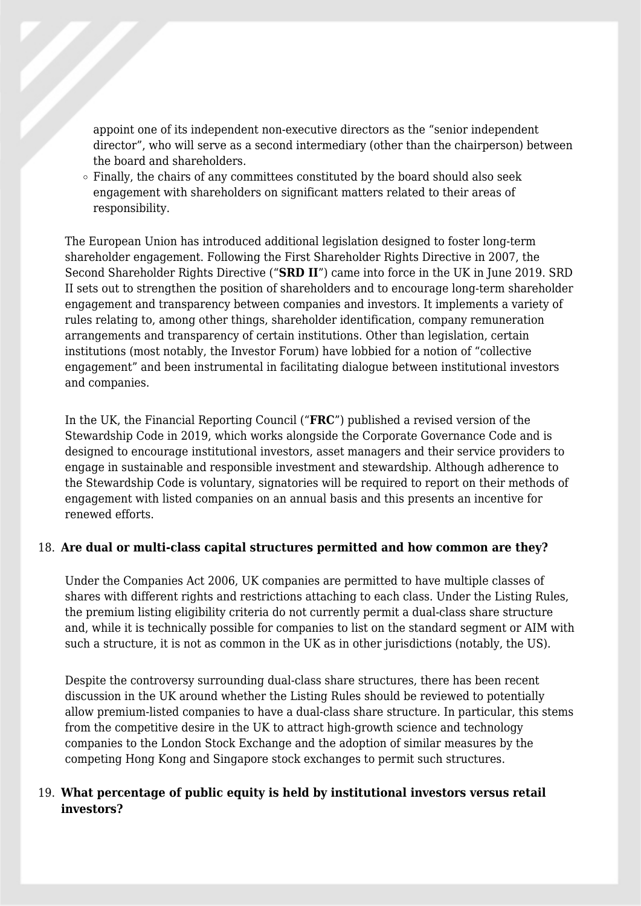appoint one of its independent non-executive directors as the "senior independent director", who will serve as a second intermediary (other than the chairperson) between the board and shareholders.

 $\circ$  Finally, the chairs of any committees constituted by the board should also seek engagement with shareholders on significant matters related to their areas of responsibility.

The European Union has introduced additional legislation designed to foster long-term shareholder engagement. Following the First Shareholder Rights Directive in 2007, the Second Shareholder Rights Directive ("**SRD II**") came into force in the UK in June 2019. SRD II sets out to strengthen the position of shareholders and to encourage long-term shareholder engagement and transparency between companies and investors. It implements a variety of rules relating to, among other things, shareholder identification, company remuneration arrangements and transparency of certain institutions. Other than legislation, certain institutions (most notably, the Investor Forum) have lobbied for a notion of "collective engagement" and been instrumental in facilitating dialogue between institutional investors and companies.

In the UK, the Financial Reporting Council ("**FRC**") published a revised version of the Stewardship Code in 2019, which works alongside the Corporate Governance Code and is designed to encourage institutional investors, asset managers and their service providers to engage in sustainable and responsible investment and stewardship. Although adherence to the Stewardship Code is voluntary, signatories will be required to report on their methods of engagement with listed companies on an annual basis and this presents an incentive for renewed efforts.

#### 18. **Are dual or multi-class capital structures permitted and how common are they?**

Under the Companies Act 2006, UK companies are permitted to have multiple classes of shares with different rights and restrictions attaching to each class. Under the Listing Rules, the premium listing eligibility criteria do not currently permit a dual-class share structure and, while it is technically possible for companies to list on the standard segment or AIM with such a structure, it is not as common in the UK as in other jurisdictions (notably, the US).

Despite the controversy surrounding dual-class share structures, there has been recent discussion in the UK around whether the Listing Rules should be reviewed to potentially allow premium-listed companies to have a dual-class share structure. In particular, this stems from the competitive desire in the UK to attract high-growth science and technology companies to the London Stock Exchange and the adoption of similar measures by the competing Hong Kong and Singapore stock exchanges to permit such structures.

#### 19. **What percentage of public equity is held by institutional investors versus retail investors?**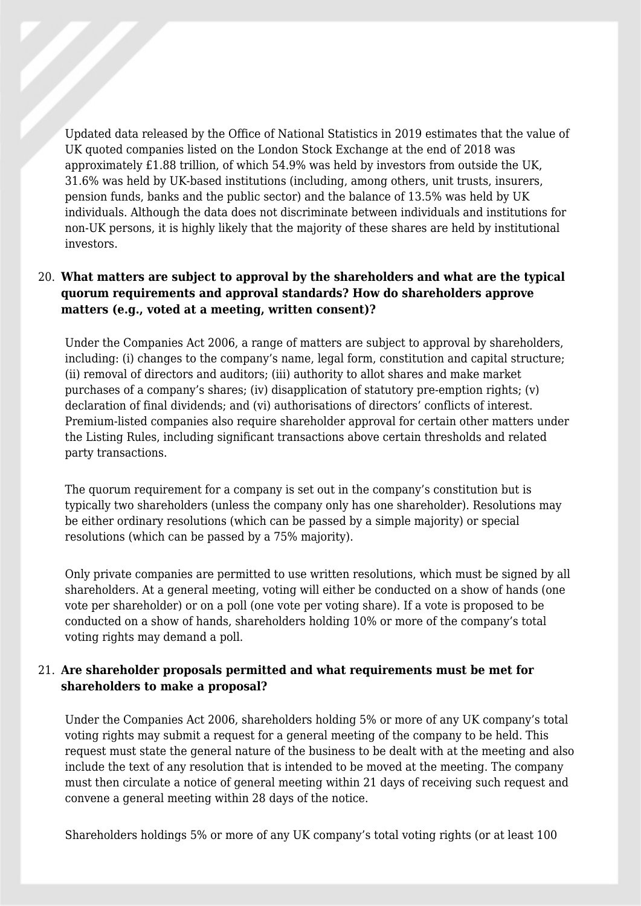Updated data released by the Office of National Statistics in 2019 estimates that the value of UK quoted companies listed on the London Stock Exchange at the end of 2018 was approximately £1.88 trillion, of which 54.9% was held by investors from outside the UK, 31.6% was held by UK-based institutions (including, among others, unit trusts, insurers, pension funds, banks and the public sector) and the balance of 13.5% was held by UK individuals. Although the data does not discriminate between individuals and institutions for non-UK persons, it is highly likely that the majority of these shares are held by institutional investors.

# 20. **What matters are subject to approval by the shareholders and what are the typical quorum requirements and approval standards? How do shareholders approve matters (e.g., voted at a meeting, written consent)?**

Under the Companies Act 2006, a range of matters are subject to approval by shareholders, including: (i) changes to the company's name, legal form, constitution and capital structure; (ii) removal of directors and auditors; (iii) authority to allot shares and make market purchases of a company's shares; (iv) disapplication of statutory pre-emption rights; (v) declaration of final dividends; and (vi) authorisations of directors' conflicts of interest. Premium-listed companies also require shareholder approval for certain other matters under the Listing Rules, including significant transactions above certain thresholds and related party transactions.

The quorum requirement for a company is set out in the company's constitution but is typically two shareholders (unless the company only has one shareholder). Resolutions may be either ordinary resolutions (which can be passed by a simple majority) or special resolutions (which can be passed by a 75% majority).

Only private companies are permitted to use written resolutions, which must be signed by all shareholders. At a general meeting, voting will either be conducted on a show of hands (one vote per shareholder) or on a poll (one vote per voting share). If a vote is proposed to be conducted on a show of hands, shareholders holding 10% or more of the company's total voting rights may demand a poll.

#### 21. **Are shareholder proposals permitted and what requirements must be met for shareholders to make a proposal?**

Under the Companies Act 2006, shareholders holding 5% or more of any UK company's total voting rights may submit a request for a general meeting of the company to be held. This request must state the general nature of the business to be dealt with at the meeting and also include the text of any resolution that is intended to be moved at the meeting. The company must then circulate a notice of general meeting within 21 days of receiving such request and convene a general meeting within 28 days of the notice.

Shareholders holdings 5% or more of any UK company's total voting rights (or at least 100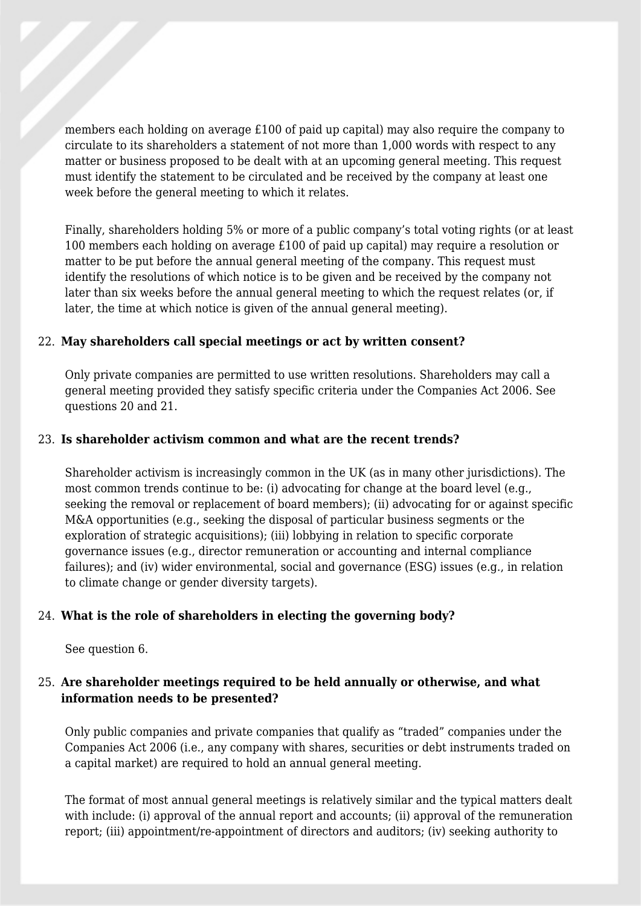members each holding on average £100 of paid up capital) may also require the company to circulate to its shareholders a statement of not more than 1,000 words with respect to any matter or business proposed to be dealt with at an upcoming general meeting. This request must identify the statement to be circulated and be received by the company at least one week before the general meeting to which it relates.

Finally, shareholders holding 5% or more of a public company's total voting rights (or at least 100 members each holding on average £100 of paid up capital) may require a resolution or matter to be put before the annual general meeting of the company. This request must identify the resolutions of which notice is to be given and be received by the company not later than six weeks before the annual general meeting to which the request relates (or, if later, the time at which notice is given of the annual general meeting).

#### 22. **May shareholders call special meetings or act by written consent?**

Only private companies are permitted to use written resolutions. Shareholders may call a general meeting provided they satisfy specific criteria under the Companies Act 2006. See questions 20 and 21.

#### 23. **Is shareholder activism common and what are the recent trends?**

Shareholder activism is increasingly common in the UK (as in many other jurisdictions). The most common trends continue to be: (i) advocating for change at the board level (e.g., seeking the removal or replacement of board members); (ii) advocating for or against specific M&A opportunities (e.g., seeking the disposal of particular business segments or the exploration of strategic acquisitions); (iii) lobbying in relation to specific corporate governance issues (e.g., director remuneration or accounting and internal compliance failures); and (iv) wider environmental, social and governance (ESG) issues (e.g., in relation to climate change or gender diversity targets).

#### 24. **What is the role of shareholders in electing the governing body?**

See question 6.

#### 25. **Are shareholder meetings required to be held annually or otherwise, and what information needs to be presented?**

Only public companies and private companies that qualify as "traded" companies under the Companies Act 2006 (i.e., any company with shares, securities or debt instruments traded on a capital market) are required to hold an annual general meeting.

The format of most annual general meetings is relatively similar and the typical matters dealt with include: (i) approval of the annual report and accounts; (ii) approval of the remuneration report; (iii) appointment/re-appointment of directors and auditors; (iv) seeking authority to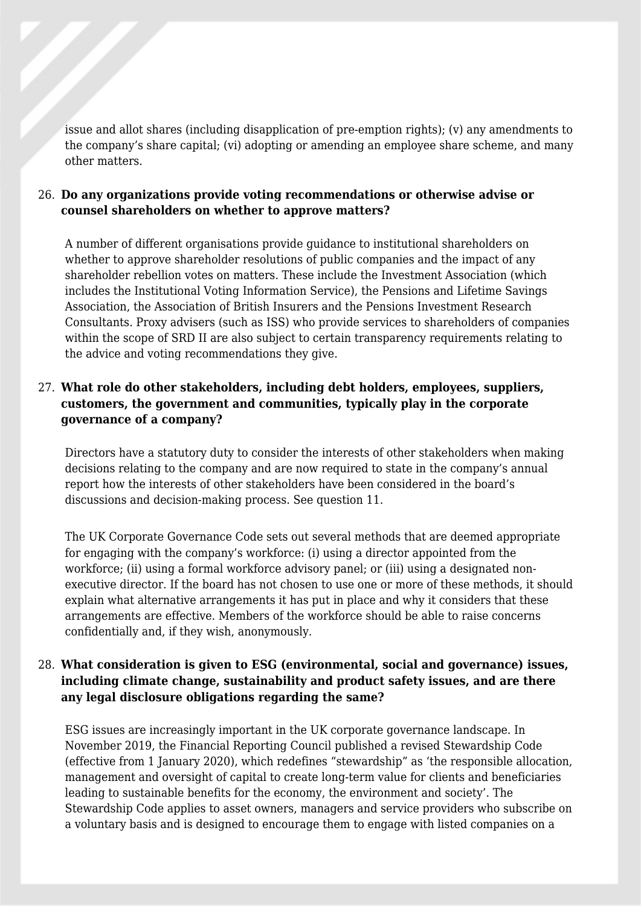issue and allot shares (including disapplication of pre-emption rights); (v) any amendments to the company's share capital; (vi) adopting or amending an employee share scheme, and many other matters.

#### 26. **Do any organizations provide voting recommendations or otherwise advise or counsel shareholders on whether to approve matters?**

A number of different organisations provide guidance to institutional shareholders on whether to approve shareholder resolutions of public companies and the impact of any shareholder rebellion votes on matters. These include the Investment Association (which includes the Institutional Voting Information Service), the Pensions and Lifetime Savings Association, the Association of British Insurers and the Pensions Investment Research Consultants. Proxy advisers (such as ISS) who provide services to shareholders of companies within the scope of SRD II are also subject to certain transparency requirements relating to the advice and voting recommendations they give.

# 27. **What role do other stakeholders, including debt holders, employees, suppliers, customers, the government and communities, typically play in the corporate governance of a company?**

Directors have a statutory duty to consider the interests of other stakeholders when making decisions relating to the company and are now required to state in the company's annual report how the interests of other stakeholders have been considered in the board's discussions and decision-making process. See question 11.

The UK Corporate Governance Code sets out several methods that are deemed appropriate for engaging with the company's workforce: (i) using a director appointed from the workforce; (ii) using a formal workforce advisory panel; or (iii) using a designated nonexecutive director. If the board has not chosen to use one or more of these methods, it should explain what alternative arrangements it has put in place and why it considers that these arrangements are effective. Members of the workforce should be able to raise concerns confidentially and, if they wish, anonymously.

#### 28. **What consideration is given to ESG (environmental, social and governance) issues, including climate change, sustainability and product safety issues, and are there any legal disclosure obligations regarding the same?**

ESG issues are increasingly important in the UK corporate governance landscape. In November 2019, the Financial Reporting Council published a revised Stewardship Code (effective from 1 January 2020), which redefines "stewardship" as 'the responsible allocation, management and oversight of capital to create long-term value for clients and beneficiaries leading to sustainable benefits for the economy, the environment and society'. The Stewardship Code applies to asset owners, managers and service providers who subscribe on a voluntary basis and is designed to encourage them to engage with listed companies on a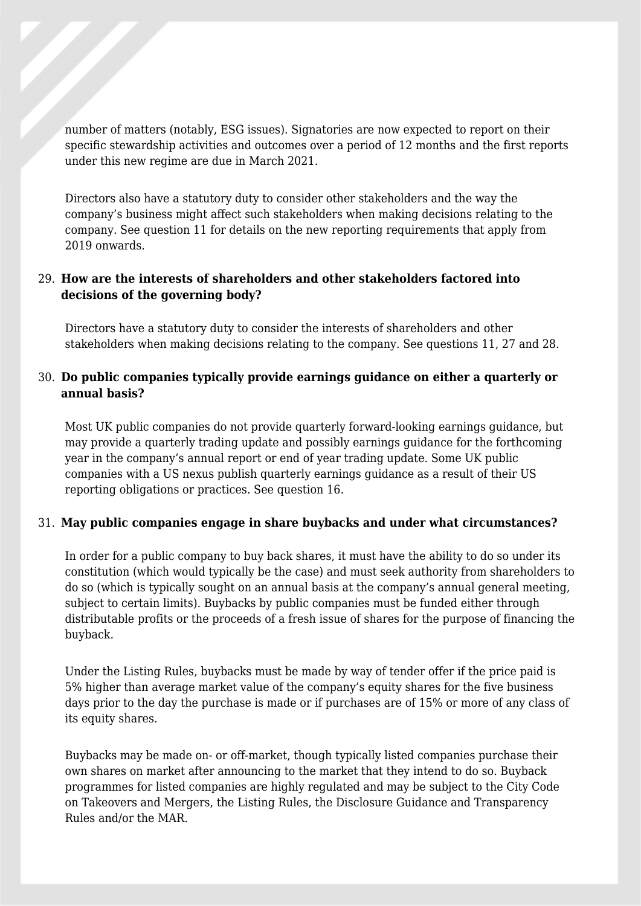number of matters (notably, ESG issues). Signatories are now expected to report on their specific stewardship activities and outcomes over a period of 12 months and the first reports under this new regime are due in March 2021.

Directors also have a statutory duty to consider other stakeholders and the way the company's business might affect such stakeholders when making decisions relating to the company. See question 11 for details on the new reporting requirements that apply from 2019 onwards.

# 29. **How are the interests of shareholders and other stakeholders factored into decisions of the governing body?**

Directors have a statutory duty to consider the interests of shareholders and other stakeholders when making decisions relating to the company. See questions 11, 27 and 28.

#### 30. **Do public companies typically provide earnings guidance on either a quarterly or annual basis?**

Most UK public companies do not provide quarterly forward-looking earnings guidance, but may provide a quarterly trading update and possibly earnings guidance for the forthcoming year in the company's annual report or end of year trading update. Some UK public companies with a US nexus publish quarterly earnings guidance as a result of their US reporting obligations or practices. See question 16.

#### 31. **May public companies engage in share buybacks and under what circumstances?**

In order for a public company to buy back shares, it must have the ability to do so under its constitution (which would typically be the case) and must seek authority from shareholders to do so (which is typically sought on an annual basis at the company's annual general meeting, subject to certain limits). Buybacks by public companies must be funded either through distributable profits or the proceeds of a fresh issue of shares for the purpose of financing the buyback.

Under the Listing Rules, buybacks must be made by way of tender offer if the price paid is 5% higher than average market value of the company's equity shares for the five business days prior to the day the purchase is made or if purchases are of 15% or more of any class of its equity shares.

Buybacks may be made on- or off-market, though typically listed companies purchase their own shares on market after announcing to the market that they intend to do so. Buyback programmes for listed companies are highly regulated and may be subject to the City Code on Takeovers and Mergers, the Listing Rules, the Disclosure Guidance and Transparency Rules and/or the MAR.